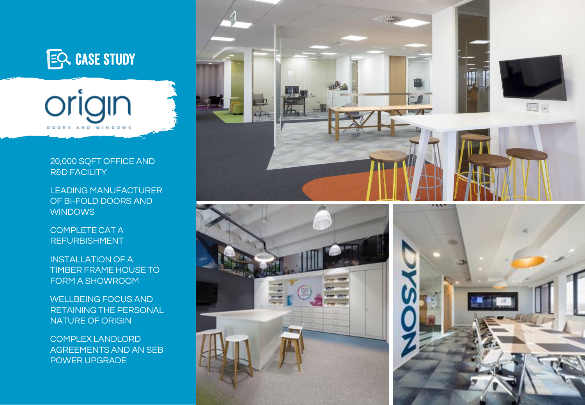



## 20,000 SQFT OFFICE AND R&D FACILITY

LEADING MANUFACTURER OF BI-FOLD DOORS AND **WINDOWS** 

COMPLETE CAT A REFURBISHMENT

INSTALLATION OF A TIMBER FRAME HOUSE TO FORM A SHOWROOM

WELLBEING FOCUS AND RETAINING THE PERSONAL NATURE OF ORIGIN

COMPLEX LANDLORD AGREEMENTS AND AN SEB POWER UPGRADE